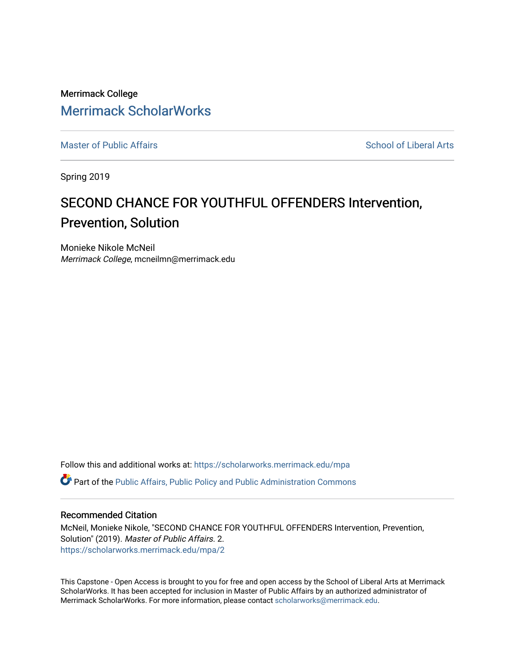Merrimack College [Merrimack ScholarWorks](https://scholarworks.merrimack.edu/) 

[Master of Public Affairs](https://scholarworks.merrimack.edu/mpa) [School of Liberal Arts](https://scholarworks.merrimack.edu/sla) School of Liberal Arts School of Liberal Arts

Spring 2019

# SECOND CHANCE FOR YOUTHFUL OFFENDERS Intervention, Prevention, Solution

Monieke Nikole McNeil Merrimack College, mcneilmn@merrimack.edu

Follow this and additional works at: [https://scholarworks.merrimack.edu/mpa](https://scholarworks.merrimack.edu/mpa?utm_source=scholarworks.merrimack.edu%2Fmpa%2F2&utm_medium=PDF&utm_campaign=PDFCoverPages) Part of the [Public Affairs, Public Policy and Public Administration Commons](http://network.bepress.com/hgg/discipline/393?utm_source=scholarworks.merrimack.edu%2Fmpa%2F2&utm_medium=PDF&utm_campaign=PDFCoverPages) 

#### Recommended Citation

McNeil, Monieke Nikole, "SECOND CHANCE FOR YOUTHFUL OFFENDERS Intervention, Prevention, Solution" (2019). Master of Public Affairs. 2. [https://scholarworks.merrimack.edu/mpa/2](https://scholarworks.merrimack.edu/mpa/2?utm_source=scholarworks.merrimack.edu%2Fmpa%2F2&utm_medium=PDF&utm_campaign=PDFCoverPages)

This Capstone - Open Access is brought to you for free and open access by the School of Liberal Arts at Merrimack ScholarWorks. It has been accepted for inclusion in Master of Public Affairs by an authorized administrator of Merrimack ScholarWorks. For more information, please contact [scholarworks@merrimack.edu](mailto:scholarworks@merrimack.edu).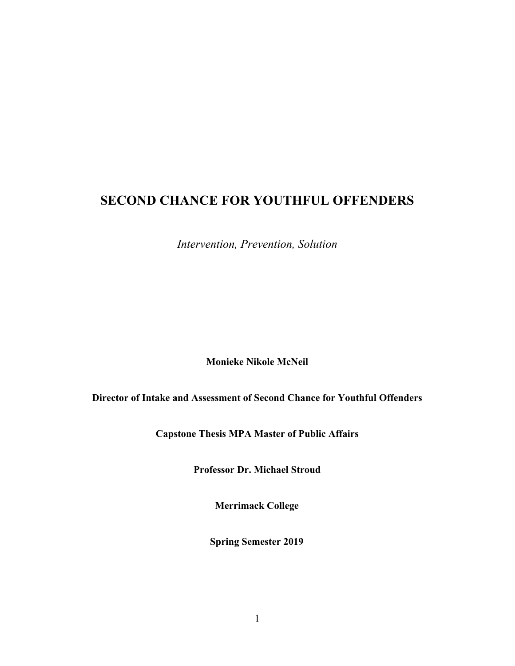## **SECOND CHANCE FOR YOUTHFUL OFFENDERS**

*Intervention, Prevention, Solution*

**Monieke Nikole McNeil**

**Director of Intake and Assessment of Second Chance for Youthful Offenders**

**Capstone Thesis MPA Master of Public Affairs**

**Professor Dr. Michael Stroud**

**Merrimack College**

**Spring Semester 2019**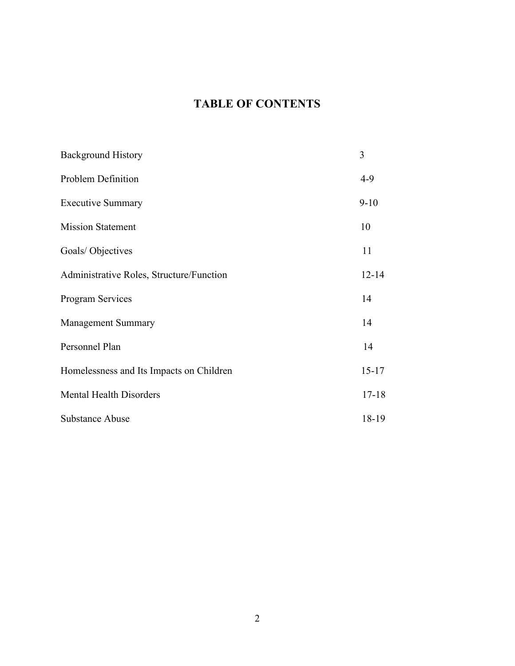## **TABLE OF CONTENTS**

| <b>Background History</b>                | 3         |
|------------------------------------------|-----------|
| Problem Definition                       | $4-9$     |
| <b>Executive Summary</b>                 | $9 - 10$  |
| <b>Mission Statement</b>                 | 10        |
| Goals/Objectives                         | 11        |
| Administrative Roles, Structure/Function | $12 - 14$ |
| <b>Program Services</b>                  | 14        |
| <b>Management Summary</b>                | 14        |
| Personnel Plan                           | 14        |
| Homelessness and Its Impacts on Children | $15 - 17$ |
| <b>Mental Health Disorders</b>           | $17 - 18$ |
| <b>Substance Abuse</b>                   | 18-19     |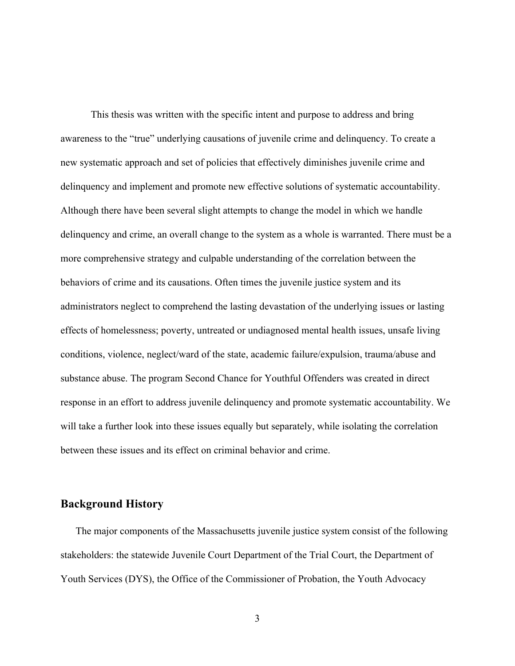This thesis was written with the specific intent and purpose to address and bring awareness to the "true" underlying causations of juvenile crime and delinquency. To create a new systematic approach and set of policies that effectively diminishes juvenile crime and delinquency and implement and promote new effective solutions of systematic accountability. Although there have been several slight attempts to change the model in which we handle delinquency and crime, an overall change to the system as a whole is warranted. There must be a more comprehensive strategy and culpable understanding of the correlation between the behaviors of crime and its causations. Often times the juvenile justice system and its administrators neglect to comprehend the lasting devastation of the underlying issues or lasting effects of homelessness; poverty, untreated or undiagnosed mental health issues, unsafe living conditions, violence, neglect/ward of the state, academic failure/expulsion, trauma/abuse and substance abuse. The program Second Chance for Youthful Offenders was created in direct response in an effort to address juvenile delinquency and promote systematic accountability. We will take a further look into these issues equally but separately, while isolating the correlation between these issues and its effect on criminal behavior and crime.

## **Background History**

The major components of the Massachusetts juvenile justice system consist of the following stakeholders: the statewide Juvenile Court Department of the Trial Court, the Department of Youth Services (DYS), the Office of the Commissioner of Probation, the Youth Advocacy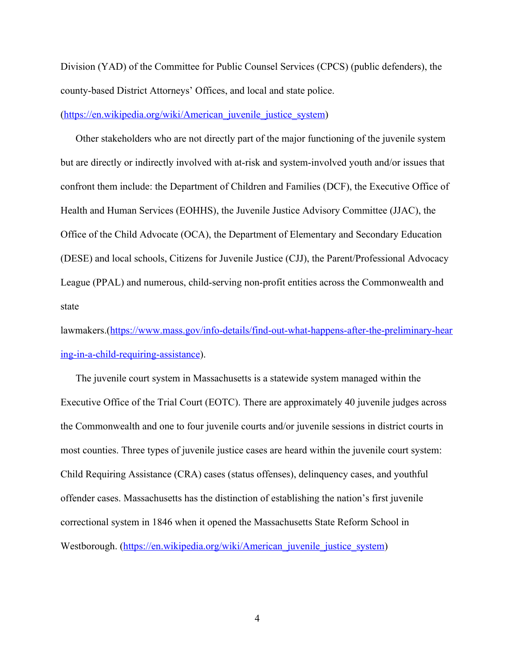Division (YAD) of the Committee for Public Counsel Services (CPCS) (public defenders), the county-based District Attorneys' Offices, and local and state police.

([https://en.wikipedia.org/wiki/American\\_juvenile\\_justice\\_system](https://en.wikipedia.org/wiki/American_juvenile_justice_system))

Other stakeholders who are not directly part of the major functioning of the juvenile system but are directly or indirectly involved with at-risk and system-involved youth and/or issues that confront them include: the Department of Children and Families (DCF), the Executive Office of Health and Human Services (EOHHS), the Juvenile Justice Advisory Committee (JJAC), the Office of the Child Advocate (OCA), the Department of Elementary and Secondary Education (DESE) and local schools, Citizens for Juvenile Justice (CJJ), the Parent/Professional Advocacy League (PPAL) and numerous, child-serving non-profit entities across the Commonwealth and state

lawmakers.([https://www.mass.gov/info-details/find-out-what-happens-after-the-preliminary-hear](https://www.mass.gov/info-details/find-out-what-happens-after-the-preliminary-hearing-in-a-child-requiring-assistance) [ing-in-a-child-requiring-assistance\)](https://www.mass.gov/info-details/find-out-what-happens-after-the-preliminary-hearing-in-a-child-requiring-assistance).

The juvenile court system in Massachusetts is a statewide system managed within the Executive Office of the Trial Court (EOTC). There are approximately 40 juvenile judges across the Commonwealth and one to four juvenile courts and/or juvenile sessions in district courts in most counties. Three types of juvenile justice cases are heard within the juvenile court system: Child Requiring Assistance (CRA) cases (status offenses), delinquency cases, and youthful offender cases. Massachusetts has the distinction of establishing the nation's first juvenile correctional system in 1846 when it opened the Massachusetts State Reform School in Westborough. (https://en.wikipedia.org/wiki/American juvenile justice system)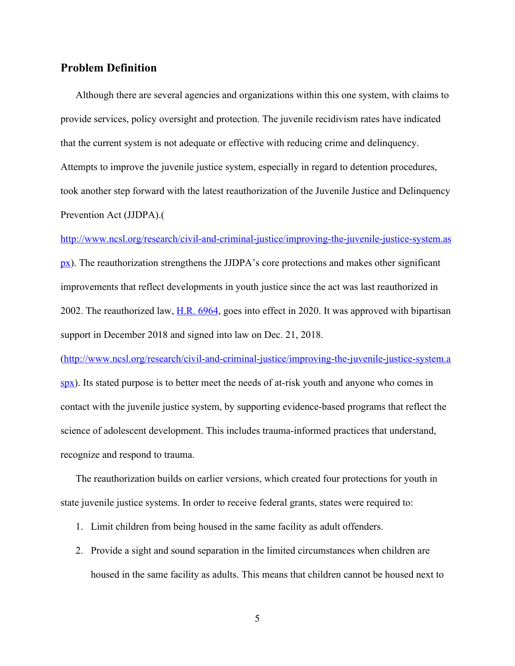### **Problem Definition**

Although there are several agencies and organizations within this one system, with claims to provide services, policy oversight and protection. The juvenile recidivism rates have indicated that the current system is not adequate or effective with reducing crime and delinquency. Attempts to improve the juvenile justice system, especially in regard to detention procedures, took another step forward with the latest reauthorization of the Juvenile Justice and Delinquency Prevention Act (JJDPA).(

[http://www.ncsl.org/research/civil-and-criminal-justice/improving-the-juvenile-justice-system.as](http://www.ncsl.org/research/civil-and-criminal-justice/improving-the-juvenile-justice-system.aspx)

 $px$ ). The reauthorization strengthens the JJDPA's core protections and makes other significant improvements that reflect developments in youth justice since the act was last reauthorized in 2002. The reauthorized law, [H.R. 6964,](https://www.congress.gov/bill/115th-congress/house-bill/6964/all-actions) goes into effect in 2020. It was approved with bipartisan support in December 2018 and signed into law on Dec. 21, 2018.

([http://www.ncsl.org/research/civil-and-criminal-justice/improving-the-juvenile-justice-system.a](http://www.ncsl.org/research/civil-and-criminal-justice/improving-the-juvenile-justice-system.aspx) [spx](http://www.ncsl.org/research/civil-and-criminal-justice/improving-the-juvenile-justice-system.aspx)). Its stated purpose is to better meet the needs of at-risk youth and anyone who comes in contact with the juvenile justice system, by supporting evidence-based programs that reflect the science of adolescent development. This includes trauma-informed practices that understand, recognize and respond to trauma.

The reauthorization builds on earlier versions, which created four protections for youth in state juvenile justice systems. In order to receive federal grants, states were required to:

- 1. Limit children from being housed in the same facility as adult offenders.
- 2. Provide a sight and sound separation in the limited circumstances when children are housed in the same facility as adults. This means that children cannot be housed next to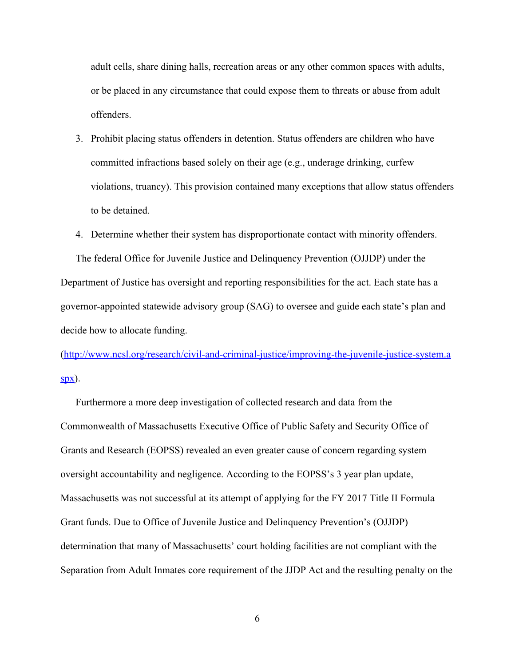adult cells, share dining halls, recreation areas or any other common spaces with adults, or be placed in any circumstance that could expose them to threats or abuse from adult offenders.

- 3. Prohibit placing status offenders in detention. Status offenders are children who have committed infractions based solely on their age (e.g., underage drinking, curfew violations, truancy). This provision contained many exceptions that allow status offenders to be detained.
- 4. Determine whether their system has disproportionate contact with minority offenders.

The federal Office for Juvenile Justice and Delinquency Prevention (OJJDP) under the Department of Justice has oversight and reporting responsibilities for the act. Each state has a governor-appointed statewide advisory group (SAG) to oversee and guide each state's plan and decide how to allocate funding.

([http://www.ncsl.org/research/civil-and-criminal-justice/improving-the-juvenile-justice-system.a](http://www.ncsl.org/research/civil-and-criminal-justice/improving-the-juvenile-justice-system.aspx)  $spx$ ).

Furthermore a more deep investigation of collected research and data from the Commonwealth of Massachusetts Executive Office of Public Safety and Security Office of Grants and Research (EOPSS) revealed an even greater cause of concern regarding system oversight accountability and negligence. According to the EOPSS's 3 year plan update, Massachusetts was not successful at its attempt of applying for the FY 2017 Title II Formula Grant funds. Due to Office of Juvenile Justice and Delinquency Prevention's (OJJDP) determination that many of Massachusetts' court holding facilities are not compliant with the Separation from Adult Inmates core requirement of the JJDP Act and the resulting penalty on the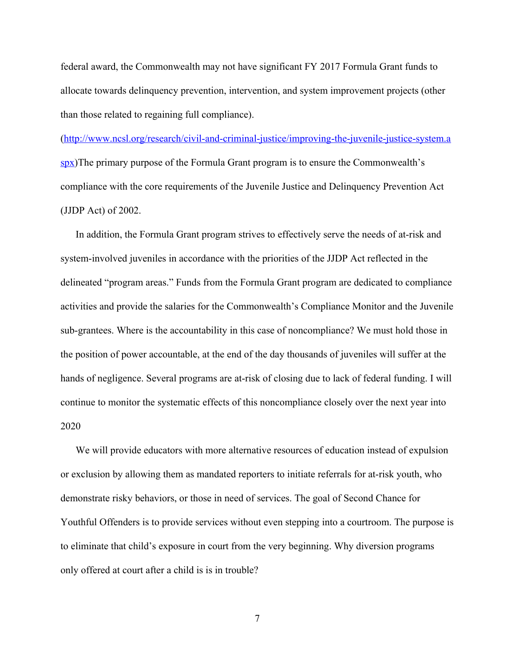federal award, the Commonwealth may not have significant FY 2017 Formula Grant funds to allocate towards delinquency prevention, intervention, and system improvement projects (other than those related to regaining full compliance).

([http://www.ncsl.org/research/civil-and-criminal-justice/improving-the-juvenile-justice-system.a](http://www.ncsl.org/research/civil-and-criminal-justice/improving-the-juvenile-justice-system.aspx) [spx](http://www.ncsl.org/research/civil-and-criminal-justice/improving-the-juvenile-justice-system.aspx))The primary purpose of the Formula Grant program is to ensure the Commonwealth's compliance with the core requirements of the Juvenile Justice and Delinquency Prevention Act (JJDP Act) of 2002.

In addition, the Formula Grant program strives to effectively serve the needs of at-risk and system-involved juveniles in accordance with the priorities of the JJDP Act reflected in the delineated "program areas." Funds from the Formula Grant program are dedicated to compliance activities and provide the salaries for the Commonwealth's Compliance Monitor and the Juvenile sub-grantees. Where is the accountability in this case of noncompliance? We must hold those in the position of power accountable, at the end of the day thousands of juveniles will suffer at the hands of negligence. Several programs are at-risk of closing due to lack of federal funding. I will continue to monitor the systematic effects of this noncompliance closely over the next year into 2020

We will provide educators with more alternative resources of education instead of expulsion or exclusion by allowing them as mandated reporters to initiate referrals for at-risk youth, who demonstrate risky behaviors, or those in need of services. The goal of Second Chance for Youthful Offenders is to provide services without even stepping into a courtroom. The purpose is to eliminate that child's exposure in court from the very beginning. Why diversion programs only offered at court after a child is is in trouble?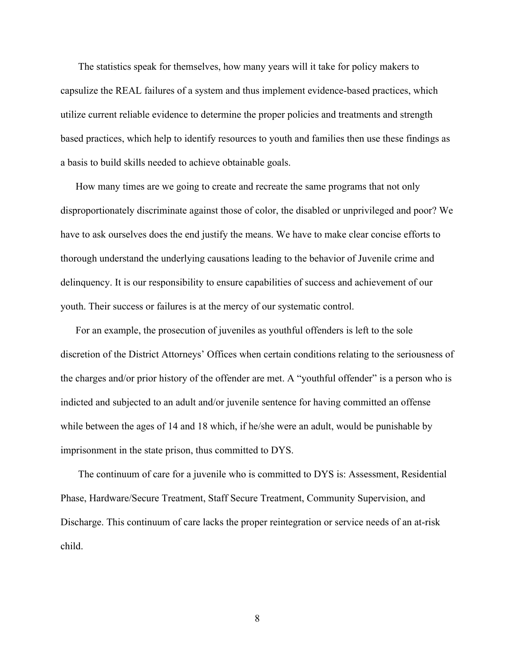The statistics speak for themselves, how many years will it take for policy makers to capsulize the REAL failures of a system and thus implement evidence-based practices, which utilize current reliable evidence to determine the proper policies and treatments and strength based practices, which help to identify resources to youth and families then use these findings as a basis to build skills needed to achieve obtainable goals.

How many times are we going to create and recreate the same programs that not only disproportionately discriminate against those of color, the disabled or unprivileged and poor? We have to ask ourselves does the end justify the means. We have to make clear concise efforts to thorough understand the underlying causations leading to the behavior of Juvenile crime and delinquency. It is our responsibility to ensure capabilities of success and achievement of our youth. Their success or failures is at the mercy of our systematic control.

For an example, the prosecution of juveniles as youthful offenders is left to the sole discretion of the District Attorneys' Offices when certain conditions relating to the seriousness of the charges and/or prior history of the offender are met. A "youthful offender" is a person who is indicted and subjected to an adult and/or juvenile sentence for having committed an offense while between the ages of 14 and 18 which, if he/she were an adult, would be punishable by imprisonment in the state prison, thus committed to DYS.

 The continuum of care for a juvenile who is committed to DYS is: Assessment, Residential Phase, Hardware/Secure Treatment, Staff Secure Treatment, Community Supervision, and Discharge. This continuum of care lacks the proper reintegration or service needs of an at-risk child.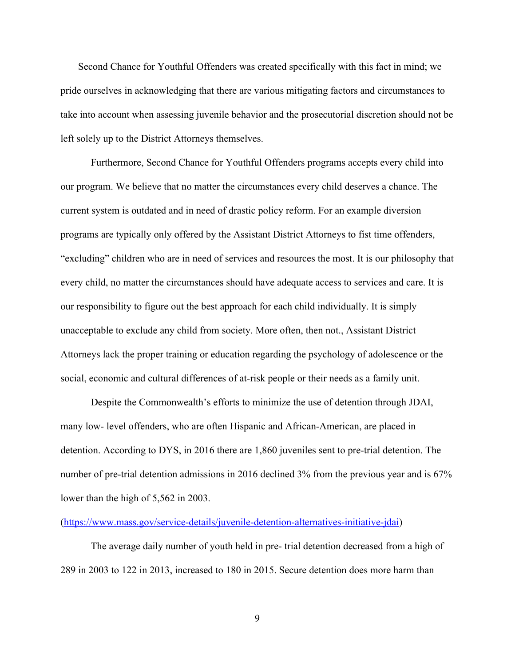Second Chance for Youthful Offenders was created specifically with this fact in mind; we pride ourselves in acknowledging that there are various mitigating factors and circumstances to take into account when assessing juvenile behavior and the prosecutorial discretion should not be left solely up to the District Attorneys themselves.

Furthermore, Second Chance for Youthful Offenders programs accepts every child into our program. We believe that no matter the circumstances every child deserves a chance. The current system is outdated and in need of drastic policy reform. For an example diversion programs are typically only offered by the Assistant District Attorneys to fist time offenders, "excluding" children who are in need of services and resources the most. It is our philosophy that every child, no matter the circumstances should have adequate access to services and care. It is our responsibility to figure out the best approach for each child individually. It is simply unacceptable to exclude any child from society. More often, then not., Assistant District Attorneys lack the proper training or education regarding the psychology of adolescence or the social, economic and cultural differences of at-risk people or their needs as a family unit.

Despite the Commonwealth's efforts to minimize the use of detention through JDAI, many low- level offenders, who are often Hispanic and African-American, are placed in detention. According to DYS, in 2016 there are 1,860 juveniles sent to pre-trial detention. The number of pre-trial detention admissions in 2016 declined 3% from the previous year and is 67% lower than the high of 5,562 in 2003.

#### ([https://www.mass.gov/service-details/juvenile-detention-alternatives-initiative-jdai\)](https://www.mass.gov/service-details/juvenile-detention-alternatives-initiative-jdai)

The average daily number of youth held in pre- trial detention decreased from a high of 289 in 2003 to 122 in 2013, increased to 180 in 2015. Secure detention does more harm than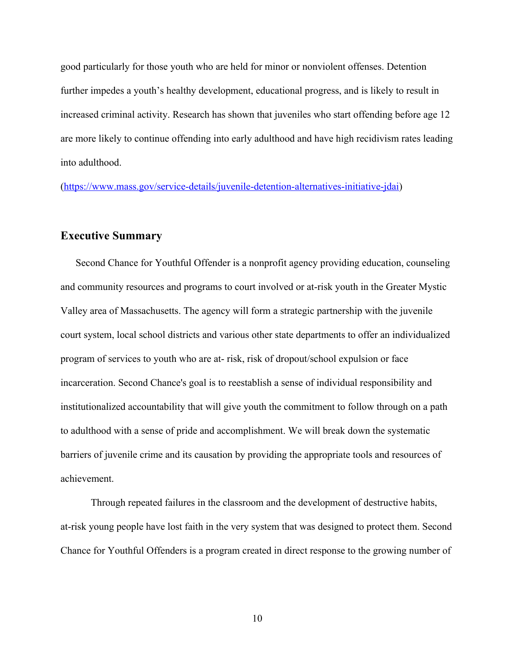good particularly for those youth who are held for minor or nonviolent offenses. Detention further impedes a youth's healthy development, educational progress, and is likely to result in increased criminal activity. Research has shown that juveniles who start offending before age 12 are more likely to continue offending into early adulthood and have high recidivism rates leading into adulthood.

([https://www.mass.gov/service-details/juvenile-detention-alternatives-initiative-jdai\)](https://www.mass.gov/service-details/juvenile-detention-alternatives-initiative-jdai)

## **Executive Summary**

Second Chance for Youthful Offender is a nonprofit agency providing education, counseling and community resources and programs to court involved or at-risk youth in the Greater Mystic Valley area of Massachusetts. The agency will form a strategic partnership with the juvenile court system, local school districts and various other state departments to offer an individualized program of services to youth who are at- risk, risk of dropout/school expulsion or face incarceration. Second Chance's goal is to reestablish a sense of individual responsibility and institutionalized accountability that will give youth the commitment to follow through on a path to adulthood with a sense of pride and accomplishment. We will break down the systematic barriers of juvenile crime and its causation by providing the appropriate tools and resources of achievement.

Through repeated failures in the classroom and the development of destructive habits, at-risk young people have lost faith in the very system that was designed to protect them. Second Chance for Youthful Offenders is a program created in direct response to the growing number of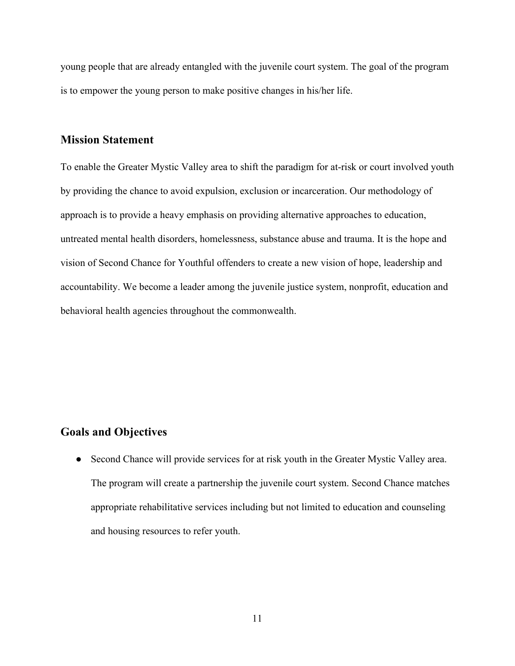young people that are already entangled with the juvenile court system. The goal of the program is to empower the young person to make positive changes in his/her life.

## **Mission Statement**

To enable the Greater Mystic Valley area to shift the paradigm for at-risk or court involved youth by providing the chance to avoid expulsion, exclusion or incarceration. Our methodology of approach is to provide a heavy emphasis on providing alternative approaches to education, untreated mental health disorders, homelessness, substance abuse and trauma. It is the hope and vision of Second Chance for Youthful offenders to create a new vision of hope, leadership and accountability. We become a leader among the juvenile justice system, nonprofit, education and behavioral health agencies throughout the commonwealth.

## **Goals and Objectives**

• Second Chance will provide services for at risk youth in the Greater Mystic Valley area. The program will create a partnership the juvenile court system. Second Chance matches appropriate rehabilitative services including but not limited to education and counseling and housing resources to refer youth.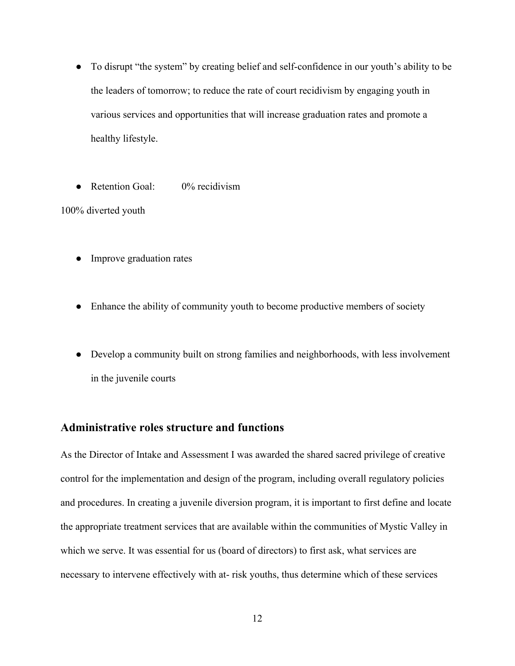- To disrupt "the system" by creating belief and self-confidence in our youth's ability to be the leaders of tomorrow; to reduce the rate of court recidivism by engaging youth in various services and opportunities that will increase graduation rates and promote a healthy lifestyle.
- Retention Goal: 0% recidivism

100% diverted youth

- Improve graduation rates
- Enhance the ability of community youth to become productive members of society
- Develop a community built on strong families and neighborhoods, with less involvement in the juvenile courts

## **Administrative roles structure and functions**

As the Director of Intake and Assessment I was awarded the shared sacred privilege of creative control for the implementation and design of the program, including overall regulatory policies and procedures. In creating a juvenile diversion program, it is important to first define and locate the appropriate treatment services that are available within the communities of Mystic Valley in which we serve. It was essential for us (board of directors) to first ask, what services are necessary to intervene effectively with at- risk youths, thus determine which of these services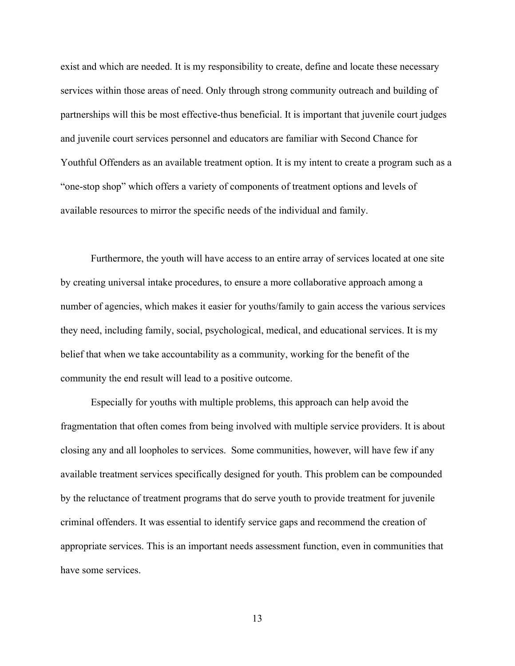exist and which are needed. It is my responsibility to create, define and locate these necessary services within those areas of need. Only through strong community outreach and building of partnerships will this be most effective-thus beneficial. It is important that juvenile court judges and juvenile court services personnel and educators are familiar with Second Chance for Youthful Offenders as an available treatment option. It is my intent to create a program such as a "one-stop shop" which offers a variety of components of treatment options and levels of available resources to mirror the specific needs of the individual and family.

Furthermore, the youth will have access to an entire array of services located at one site by creating universal intake procedures, to ensure a more collaborative approach among a number of agencies, which makes it easier for youths/family to gain access the various services they need, including family, social, psychological, medical, and educational services. It is my belief that when we take accountability as a community, working for the benefit of the community the end result will lead to a positive outcome.

Especially for youths with multiple problems, this approach can help avoid the fragmentation that often comes from being involved with multiple service providers. It is about closing any and all loopholes to services. Some communities, however, will have few if any available treatment services specifically designed for youth. This problem can be compounded by the reluctance of treatment programs that do serve youth to provide treatment for juvenile criminal offenders. It was essential to identify service gaps and recommend the creation of appropriate services. This is an important needs assessment function, even in communities that have some services.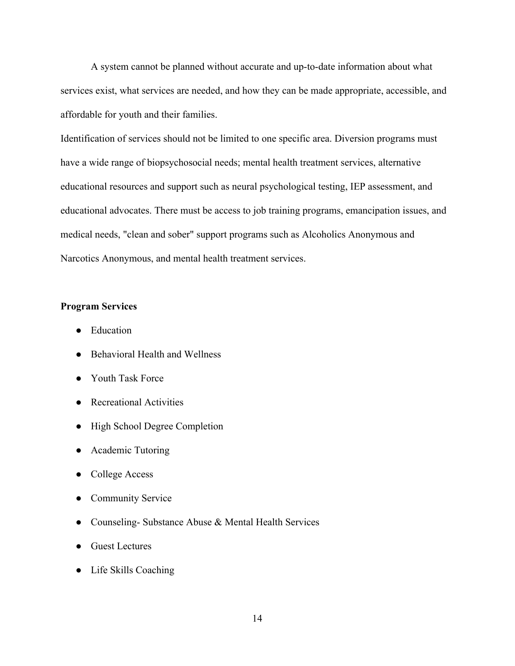A system cannot be planned without accurate and up-to-date information about what services exist, what services are needed, and how they can be made appropriate, accessible, and affordable for youth and their families.

Identification of services should not be limited to one specific area. Diversion programs must have a wide range of biopsychosocial needs; mental health treatment services, alternative educational resources and support such as neural psychological testing, IEP assessment, and educational advocates. There must be access to job training programs, emancipation issues, and medical needs, "clean and sober" support programs such as Alcoholics Anonymous and Narcotics Anonymous, and mental health treatment services.

#### **Program Services**

- Education
- Behavioral Health and Wellness
- Youth Task Force
- Recreational Activities
- High School Degree Completion
- Academic Tutoring
- College Access
- Community Service
- Counseling- Substance Abuse & Mental Health Services
- Guest Lectures
- Life Skills Coaching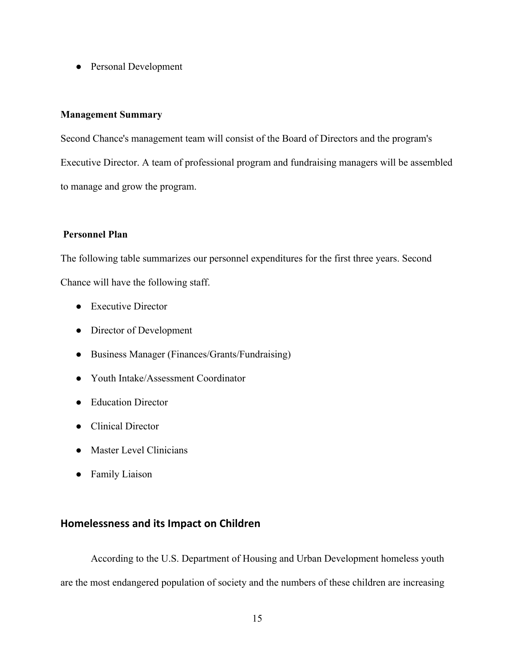• Personal Development

### **Management Summary**

Second Chance's management team will consist of the Board of Directors and the program's Executive Director. A team of professional program and fundraising managers will be assembled to manage and grow the program.

#### **Personnel Plan**

The following table summarizes our personnel expenditures for the first three years. Second Chance will have the following staff.

- Executive Director
- Director of Development
- Business Manager (Finances/Grants/Fundraising)
- Youth Intake/Assessment Coordinator
- Education Director
- Clinical Director
- Master Level Clinicians
- Family Liaison

## **Homelessness and its Impact on Children**

According to the U.S. Department of Housing and Urban Development homeless youth are the most endangered population of society and the numbers of these children are increasing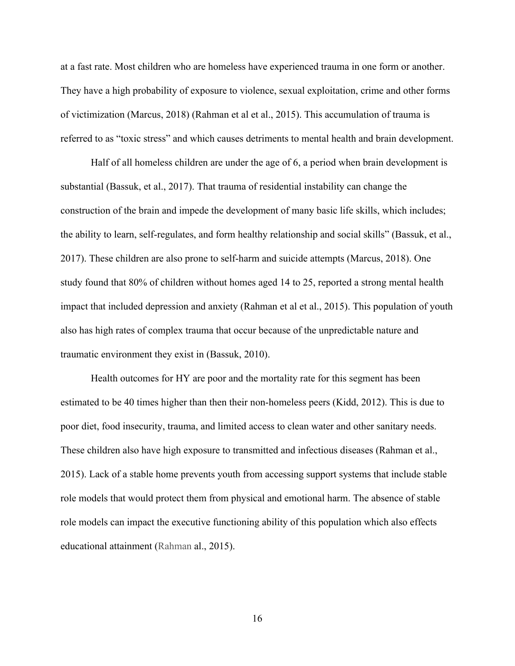at a fast rate. Most children who are homeless have experienced trauma in one form or another. They have a high probability of exposure to violence, sexual exploitation, crime and other forms of victimization (Marcus, 2018) (Rahman et al et al., 2015). This accumulation of trauma is referred to as "toxic stress" and which causes detriments to mental health and brain development.

Half of all homeless children are under the age of 6, a period when brain development is substantial (Bassuk, et al., 2017). That trauma of residential instability can change the construction of the brain and impede the development of many basic life skills, which includes; the ability to learn, self-regulates, and form healthy relationship and social skills" (Bassuk, et al., 2017). These children are also prone to self-harm and suicide attempts (Marcus, 2018). One study found that 80% of children without homes aged 14 to 25, reported a strong mental health impact that included depression and anxiety (Rahman et al et al., 2015). This population of youth also has high rates of complex trauma that occur because of the unpredictable nature and traumatic environment they exist in (Bassuk, 2010).

Health outcomes for HY are poor and the mortality rate for this segment has been estimated to be 40 times higher than then their non-homeless peers (Kidd, 2012). This is due to poor diet, food insecurity, trauma, and limited access to clean water and other sanitary needs. These children also have high exposure to transmitted and infectious diseases (Rahman et al., 2015). Lack of a stable home prevents youth from accessing support systems that include stable role models that would protect them from physical and emotional harm. The absence of stable role models can impact the executive functioning ability of this population which also effects educational attainment (Rahman al., 2015).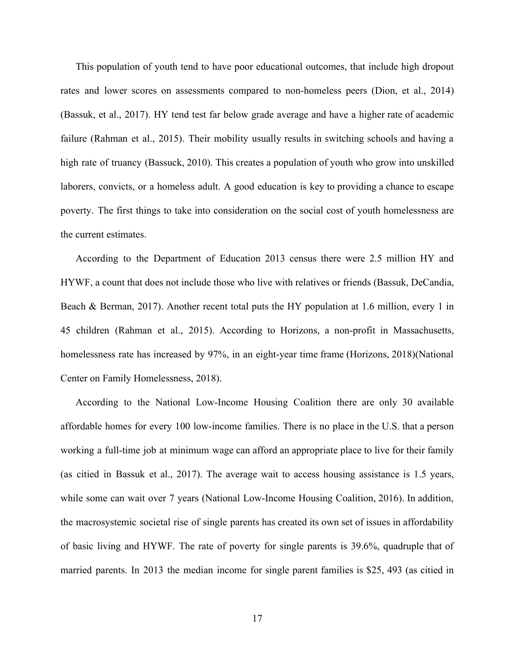This population of youth tend to have poor educational outcomes, that include high dropout rates and lower scores on assessments compared to non-homeless peers (Dion, et al., 2014) (Bassuk, et al., 2017). HY tend test far below grade average and have a higher rate of academic failure (Rahman et al., 2015). Their mobility usually results in switching schools and having a high rate of truancy (Bassuck, 2010). This creates a population of youth who grow into unskilled laborers, convicts, or a homeless adult. A good education is key to providing a chance to escape poverty. The first things to take into consideration on the social cost of youth homelessness are the current estimates.

According to the Department of Education 2013 census there were 2.5 million HY and HYWF, a count that does not include those who live with relatives or friends (Bassuk, DeCandia, Beach & Berman, 2017). Another recent total puts the HY population at 1.6 million, every 1 in 45 children (Rahman et al., 2015). According to Horizons, a non-profit in Massachusetts, homelessness rate has increased by 97%, in an eight-year time frame (Horizons, 2018) (National Center on Family Homelessness, 2018).

According to the National Low-Income Housing Coalition there are only 30 available affordable homes for every 100 low-income families. There is no place in the U.S. that a person working a full-time job at minimum wage can afford an appropriate place to live for their family (as citied in Bassuk et al., 2017). The average wait to access housing assistance is 1.5 years, while some can wait over 7 years (National Low-Income Housing Coalition, 2016). In addition, the macrosystemic societal rise of single parents has created its own set of issues in affordability of basic living and HYWF. The rate of poverty for single parents is 39.6%, quadruple that of married parents. In 2013 the median income for single parent families is \$25, 493 (as citied in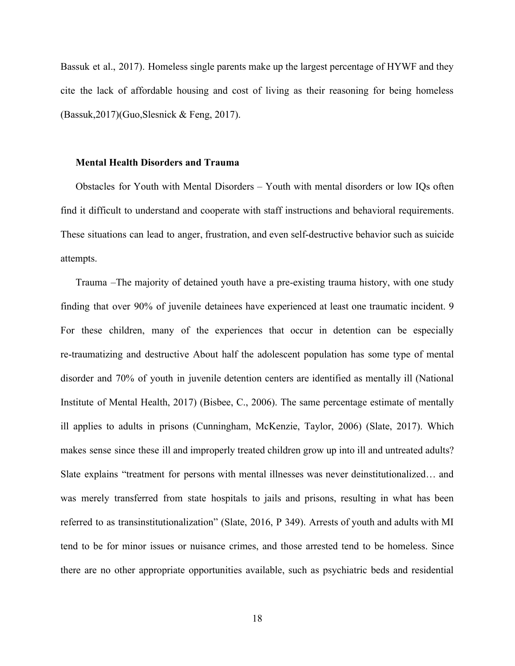Bassuk et al., 2017). Homeless single parents make up the largest percentage of HYWF and they cite the lack of affordable housing and cost of living as their reasoning for being homeless (Bassuk,2017)(Guo,Slesnick & Feng, 2017).

#### **Mental Health Disorders and Trauma**

Obstacles for Youth with Mental Disorders – Youth with mental disorders or low IQs often find it difficult to understand and cooperate with staff instructions and behavioral requirements. These situations can lead to anger, frustration, and even self-destructive behavior such as suicide attempts.

Trauma –The majority of detained youth have a pre-existing trauma history, with one study finding that over 90% of juvenile detainees have experienced at least one traumatic incident. 9 For these children, many of the experiences that occur in detention can be especially re-traumatizing and destructive About half the adolescent population has some type of mental disorder and 70% of youth in juvenile detention centers are identified as mentally ill (National Institute of Mental Health, 2017) (Bisbee, C., 2006). The same percentage estimate of mentally ill applies to adults in prisons (Cunningham, McKenzie, Taylor, 2006) (Slate, 2017). Which makes sense since these ill and improperly treated children grow up into ill and untreated adults? Slate explains "treatment for persons with mental illnesses was never deinstitutionalized… and was merely transferred from state hospitals to jails and prisons, resulting in what has been referred to as transinstitutionalization" (Slate, 2016, P 349). Arrests of youth and adults with MI tend to be for minor issues or nuisance crimes, and those arrested tend to be homeless. Since there are no other appropriate opportunities available, such as psychiatric beds and residential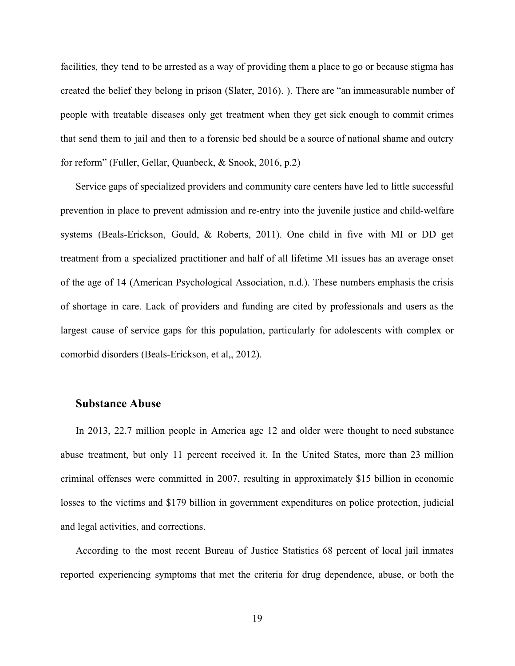facilities, they tend to be arrested as a way of providing them a place to go or because stigma has created the belief they belong in prison (Slater, 2016). ). There are "an immeasurable number of people with treatable diseases only get treatment when they get sick enough to commit crimes that send them to jail and then to a forensic bed should be a source of national shame and outcry for reform" (Fuller, Gellar, Quanbeck, & Snook, 2016, p.2)

Service gaps of specialized providers and community care centers have led to little successful prevention in place to prevent admission and re-entry into the juvenile justice and child-welfare systems (Beals-Erickson, Gould, & Roberts, 2011). One child in five with MI or DD get treatment from a specialized practitioner and half of all lifetime MI issues has an average onset of the age of 14 (American Psychological Association, n.d.). These numbers emphasis the crisis of shortage in care. Lack of providers and funding are cited by professionals and users as the largest cause of service gaps for this population, particularly for adolescents with complex or comorbid disorders (Beals-Erickson, et al,, 2012).

## **Substance Abuse**

In 2013, 22.7 million people in America age 12 and older were thought to need substance abuse treatment, but only 11 percent received it. In the United States, more than 23 million criminal offenses were committed in 2007, resulting in approximately \$15 billion in economic losses to the victims and \$179 billion in government expenditures on police protection, judicial and legal activities, and corrections.

According to the most recent Bureau of Justice Statistics 68 percent of local jail inmates reported experiencing symptoms that met the criteria for drug dependence, abuse, or both the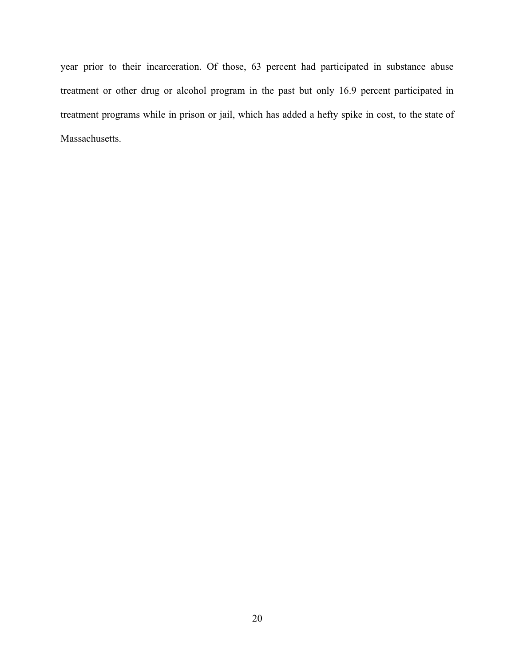year prior to their incarceration. Of those, 63 percent had participated in substance abuse treatment or other drug or alcohol program in the past but only 16.9 percent participated in treatment programs while in prison or jail, which has added a hefty spike in cost, to the state of Massachusetts.